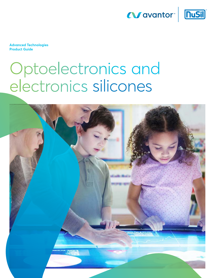



**Advanced Technologies Product Guide**

# Optoelectronics and electronics silicones

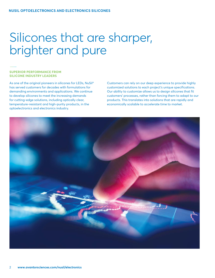# Silicones that are sharper, brighter and pure

#### **SUPERIOR PERFORMANCE FROM SILICONE INDUSTRY LEADERS**

As one of the original pioneers in silicones for LEDs, NuSil® has served customers for decades with formulations for demanding environments and applications. We continue to develop silicones to meet the increasing demands for cutting-edge solutions, including optically clear, temperature-resistant and high-purity products, in the optoelectronics and electronics industry.

Customers can rely on our deep experience to provide highly customized solutions to each project's unique specifications. Our ability to customize allows us to design silicones that fit customers' processes, rather than forcing them to adapt to our products. This translates into solutions that are rapidly and economically scalable to accelerate time to market.

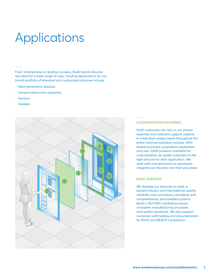# Applications

From smartphones to stadium screens, NuSil brand silicones are ideal for a wide range of uses. Leading applications for our broad portfolio of standard and customized silicones include:

- Next-generation displays
- General electronics assembly
- ‒ Sensors
- ‒ Gaskets



#### **CUSTOMIZATION MASTERED**

NuSil customers can rely on our proven expertise and extensive support systems to meet their unique needs throughout the entire commercialization process. With tested processes, proprietary equipment and over 3,000 products available for customization, we guide customers to the right silicone for their application. We work with manufacturers to seamlessly integrate our silicones into their processes.

#### **NUSIL SUPPORT**

We develop our silicones to meet or exceed industry and international quality, reliability and consistency standards with comprehensive, documented systems. NuSil is ISO 9001 certified to ensure consistent manufacturing processes and quality standards. We also support customers with testing and documentation for RoHS and REACH compliance.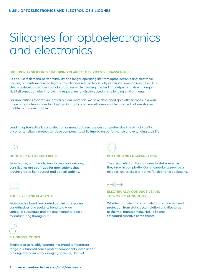# Silicones for optoelectronics and electronics

#### **HIGH-PURITY SILICONES THAT BRING CLARITY TO DEVICES & SUBASSEMBLIES**

As end-users demand better reliability and longer operating life from optoelectronic and electronic devices, our customers need high-purity silicones refined to virtually eliminate common impurities. Our chemists develop silicones that absorb stress while allowing greater light output and viewing angles. NuSil silicones can also improve the ruggedness of displays used in challenging environments.

For applications that require optically clear materials, we have developed specialty silicones in a wide range of refractive indices for displays. Our optically clear silicones enable displays that are sharper, brighter and more durable.

Leading optoelectronics and electronics manufacturers use our comprehensive line of high-purity silicones to reliably protect sensitive components while improving performance and extending their life.



#### **OPTICALLY CLEAR MATERIALS**

From bigger, brighter displays to wearable devices, our silicones are optimized for applications that require greater light output and optical stability.

#### ниши

 $\overline{111111111}$ 

#### **ADHESIVES AND SEALANTS**

From precise bond line control to minimal cleanup, our adhesives and sealants bond to a wide variety of substrates and are engineered to boost manufacturing throughput.



#### **FLUOROSILICONES**

Engineered to reliably operate in a broad temperature range, our fluorosilicones protect components, even under prolonged exposure to damaging solvents, like fuel.



### **POTTING AND ENCAPSULATING**

The size of electronics continues to shrink even as they grow in complexity. Our encapsulants provide a reliable, low-stress alternative for electronic packaging.

 $-$ -- $||$ 

### **ELECTRICALLY CONDUCTIVE AND THERMALLY CONDUCTIVE**

Whether optoelectronic and electronic devices need protection from static accumulation and discharge or thermal management, NuSil silicones safeguard sensitive components.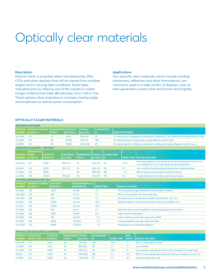# Optically clear materials

#### **Description**

Optical clarity is essential when manufacturing LEDs, LCDs and other displays that will be viewed from multiple angles and in varying light conditions. NuSil helps manufacturers by offering one of the industry's widest ranges of Refractive Index (RI) silicones, from 1.38 to 1.54. These options allow engineers to increase viewing angle and brightness to reduce power consumption.

#### **Applications**

Our optically clear materials, which include molding elastomers, adhesives and other formulations, are commonly used in a wide variety of displays, such as next-generation screens that are thinner and brighter.

### **OPTICALLY CLEAR MATERIALS**

|                                 | <b>MOLDING ELASTOMERS</b>                                                          |        |                                   |                                |                   |                                             |                                    |                           |                                                                                                |                                                             |                                                                                                                                |  |  |
|---------------------------------|------------------------------------------------------------------------------------|--------|-----------------------------------|--------------------------------|-------------------|---------------------------------------------|------------------------------------|---------------------------|------------------------------------------------------------------------------------------------|-------------------------------------------------------------|--------------------------------------------------------------------------------------------------------------------------------|--|--|
| <b>PRODUCT</b><br><b>NUMBER</b> | <b>REFRACTIVE INDEX</b><br>at 589 nm                                               |        | <b>DUROMETER</b><br><b>TYPE A</b> | <b>VISCOSITY</b><br>(cP/mPa·s) |                   | <b>TENSILE</b><br>psi (mPa)                 | <b>ELONGATION</b><br>$\frac{9}{6}$ |                           |                                                                                                | <b>SPECIAL FEATURES</b>                                     |                                                                                                                                |  |  |
| LS1-6140                        | 1.41                                                                               |        | 50                                | 3.200                          |                   | 900(6.2)                                    | 90                                 |                           | For casting, low-compression molding and dispensing. Low volatility and requires heat to cure. |                                                             |                                                                                                                                |  |  |
| LS1-6941                        | 1.41                                                                               |        | 50                                | 62,500                         |                   | 750 (5.2)                                   | 305                                |                           | For liquid-injection molding and casting. Requires heat to cure.                               |                                                             |                                                                                                                                |  |  |
| LS-8941                         | 1.41                                                                               |        | 80                                | 21,500                         |                   | 1,250(8.6)                                  | 65                                 |                           |                                                                                                |                                                             | For liquid-injection molding, compression molding and casting. Requires heat to cure.                                          |  |  |
|                                 | <b>ADHESIVES &amp; SEALANTS - TWO-PART</b>                                         |        |                                   |                                |                   |                                             |                                    |                           |                                                                                                |                                                             |                                                                                                                                |  |  |
| <b>PRODUCT</b><br><b>NUMBER</b> | <b>REFRACTIVE</b><br><b>INDEX</b><br><b>VISCOSITY</b><br>at 589 nm<br>$(cP/mPa-S)$ |        |                                   | <b>LAP SHEAR</b><br>psi (mPa)  |                   | <b>DUROMETER</b><br><b>TYPE A</b>           | <b>TENSILE</b><br>psi (mPa)        | <b>ELONGATION</b><br>$\%$ |                                                                                                | <b>WORK TIME</b>                                            | <b>SPECIAL FEATURES</b>                                                                                                        |  |  |
| LS2-6140                        | 1.41                                                                               | 3,000  |                                   | 390(2.7)                       | 47                |                                             | 940(6.5)                           | 125                       |                                                                                                | > 8 h                                                       | Primerless adhesion and tested per UL 94 and passed V-0 at 3.7 mm.<br>Low volatility for use in high-temperature environments. |  |  |
| LS-6143                         | 1.43                                                                               | 3,000  |                                   | 180(1.2)                       | 40                |                                             | 600(4.1)                           | 125                       |                                                                                                | 2 <sub>h</sub>                                              | Low volatility, broad operating temperature, optically robust                                                                  |  |  |
| LS-6943                         | 1.43<br>5,400                                                                      |        |                                   | 40                             |                   | 900(6.2)                                    | 120                                |                           | $-2h$                                                                                          | Broad operating temperature, optically robust               |                                                                                                                                |  |  |
| LS-6946                         | 1.46                                                                               | 37.500 |                                   | 510(3.5)                       | 30                |                                             | 675(4.7)                           | 275                       |                                                                                                | 2 <sub>h</sub>                                              | Tough elastomer that index matches fused glass                                                                                 |  |  |
|                                 | <b>POTTING &amp; ENCAPSULATING GELS</b>                                            |        |                                   |                                |                   |                                             |                                    |                           |                                                                                                |                                                             |                                                                                                                                |  |  |
| <b>PRODUCT</b><br><b>NUMBER</b> | <b>REFRACTIVE INDEX</b><br>at 589 nm                                               |        | <b>VISCOSITY</b><br>(cP/mPa·s)    |                                |                   | <b>PENETRATION (mm)</b><br><b>DUROMETER</b> | <b>WORK TIME</b>                   |                           |                                                                                                | <b>SPECIAL FEATURES</b>                                     |                                                                                                                                |  |  |
| LS-3238                         | 1.38                                                                               |        | 1,500                             |                                | 15 (00)           |                                             | 11 <sub>h</sub>                    |                           |                                                                                                | Firm fluorosilicone gel. Resistant to hydrocarbon solvents. |                                                                                                                                |  |  |
| GEL-8136                        | 1.40                                                                               |        | 450                               |                                | $13 \, \text{mm}$ |                                             | 2 <sub>h</sub>                     |                           |                                                                                                |                                                             | RTV or cures rapidly with heat. High tack.                                                                                     |  |  |
| LS4-3441                        | 1.40                                                                               |        | 500                               |                                | 35 (00)           |                                             | 5 <sub>h</sub>                     |                           |                                                                                                |                                                             | Optically robust in harsh environments, low viscosity, very firm                                                               |  |  |
| LS-3140                         | 1.40                                                                               |        | 12,250                            |                                | $0.4$ mm          |                                             | 24h                                |                           |                                                                                                |                                                             | Optically robust in harsh environments, tough, low volatility, firm                                                            |  |  |
| LS-3441                         | 1.40                                                                               |        | 14,500                            |                                | $0.3$ mm          |                                             | 24h                                |                           |                                                                                                |                                                             |                                                                                                                                |  |  |
| LS1-3443                        | 1.43                                                                               |        | 650                               |                                | 8 mm              |                                             | 2 <sub>h</sub>                     |                           |                                                                                                |                                                             | Optically robust, recommended for high-temperature environments                                                                |  |  |
| LS-3246                         | 1.46<br>1.000                                                                      |        |                                   |                                | 10 (00)           |                                             | 8 h                                |                           |                                                                                                | Index matches fused glass                                   |                                                                                                                                |  |  |
| LS1-3252                        | 1.52<br>425                                                                        |        |                                   |                                | 25(00)            |                                             | $-3h$                              |                           |                                                                                                |                                                             | Index matches borosilicate-crown glass (BK7)                                                                                   |  |  |
| LS-3354                         | 1.54<br>8,000                                                                      |        |                                   | 75 (000)                       |                   | $-2h$                                       |                                    |                           |                                                                                                | Low permeability and high refractive index                  |                                                                                                                                |  |  |
| LS3-3354                        | 1.54<br>8,000                                                                      |        |                                   | 75 (000)                       |                   | $-2h$                                       |                                    |                           | Designed to have improved adhesion                                                             |                                                             |                                                                                                                                |  |  |

| <b>POTTING &amp; ENCAPSULATING ELASTOMERS</b> |                                                   |                    |                                           |             |                           |                  |                            |                                                                      |  |  |  |  |
|-----------------------------------------------|---------------------------------------------------|--------------------|-------------------------------------------|-------------|---------------------------|------------------|----------------------------|----------------------------------------------------------------------|--|--|--|--|
| <b>PRODUCT</b><br><b>NUMBER</b>               | <b>REFRACTIVE</b><br>INDEX at 589 nm   (cP/mPa·s) | <b>L</b> VISCOSITY | <b>DUROMETER TENSILE</b><br><b>TYPE A</b> | psi (mPa)   | <b>ELONGATION</b><br>$\%$ | <b>WORK TIME</b> | <b>MIX</b><br><b>RATIO</b> | <b>SPECIAL FEATURES</b>                                              |  |  |  |  |
| LS2-6941                                      | 1.41                                              | 1.000              | 30                                        | 120(0.8)    | 100                       | 5.5h             | 1:1                        | RTV or cures rapidly to heat                                         |  |  |  |  |
| LS-6140                                       | 1.41                                              | 3.125              | 50                                        | 850 (5.9)   | 90                        | 3 <sub>h</sub>   | 1:1                        | Low volatility                                                       |  |  |  |  |
| LS1-6140                                      | 1.41                                              | 3.200              | 50                                        | 900(6.2)    | 90                        | > 8 h            | 1:1                        | Low volatility and requires heat to cure. Designed for dispensing.   |  |  |  |  |
| R-2613                                        | 1.41                                              | 5.500              | 45                                        | 1,140(8.0)  | 150                       | 2 <sub>h</sub>   | 10:1                       | RTV or cures rapidly with heat within 48 hours. Tested to UL 94 V-0. |  |  |  |  |
| LS-6941                                       | 1.41                                              | 5.800              | 50                                        | 1,300 (9.0) | -95                       | 5 h              | 10:1                       | Heat not required to cure                                            |  |  |  |  |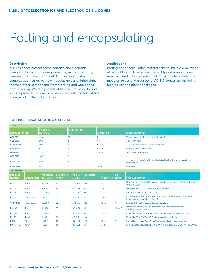# Potting and encapsulating

#### **Description**

NuSil silicones protect optoelectronic and electronic components from damaging elements, such as moisture, contaminants, shock and heat. For electronics with more complex geometries, our low modulus gels and lightweight foams protect components from warping and wire bonds from shearing. We also provide elastomers for stability and surface protection as well as conformal coatings that extend the operating life of circuit boards.

#### **Applications**

Potting and encapsulation materials are found in a wide range of assemblies, such as general assembly and sensors as well as vehicle and avionics equipment. They are also suitable for modules, relays and a variety of AC/DC converters, including high-power and planar packages.

## **POTTING & ENCAPSULATING MATERIALS**

| <b>GELS</b>                     |                    |                                |                                   |                             |                           |                        |            |                                                                                                               |  |  |
|---------------------------------|--------------------|--------------------------------|-----------------------------------|-----------------------------|---------------------------|------------------------|------------|---------------------------------------------------------------------------------------------------------------|--|--|
| <b>PRODUCT NUMBER</b>           |                    | <b>VISCOSITY</b><br>(cP/mPa·s) |                                   | <b>PENETRATION</b><br>(mm)  |                           | <b>WORK TIME</b>       |            | <b>SPECIAL FEATURES</b>                                                                                       |  |  |
| GEL-8136                        |                    | 450                            |                                   | 13                          |                           | 2 <sub>h</sub>         |            | RTV or cures rapidly with heat. High tack.                                                                    |  |  |
| <b>GEL-8150</b>                 |                    | 500                            |                                   | 5                           |                           | 4 <sub>h</sub>         |            | Cures with heat                                                                                               |  |  |
| GEL8-8150                       |                    | 500                            |                                   | 5                           |                           | 1.5 <sub>h</sub>       |            | RTV in 48 hours or cures rapidly with heat                                                                    |  |  |
| GEL-8100                        |                    | 535                            |                                   | 9                           |                           | >24 h                  |            | Very soft, flows when cured                                                                                   |  |  |
| <b>GEL-8111</b>                 |                    | 535                            |                                   | 10 <sup>10</sup>            |                           | >24 h                  |            | Low volatility, very soft                                                                                     |  |  |
| <b>GEL-8170</b>                 |                    | 600                            |                                   | 8                           |                           | 6 <sub>h</sub>         |            |                                                                                                               |  |  |
| LS1-3443                        |                    | 650                            |                                   | 8                           |                           | 2 <sub>h</sub>         |            | RTV, or cures rapidly with heat, high tack gel with broad operating<br>temperature.                           |  |  |
| GEL1-8155                       |                    | 14.500                         |                                   | 0.4                         |                           | 24 hr                  |            | Very firm                                                                                                     |  |  |
| <b>ELASTOMERS</b>               |                    |                                |                                   |                             |                           |                        |            |                                                                                                               |  |  |
| <b>PRODUCT</b><br><b>NUMBER</b> | <b>APPEARANCE</b>  | <b>VISCOSITY</b><br>(cP/mPa·s) | <b>DUROMETER</b><br><b>TYPE A</b> | <b>TENSILE</b><br>psi (mPa) | <b>ELONGATION</b><br>$\%$ | <b>WORK TIME RATIO</b> | <b>MIX</b> | <b>SPECIAL FEATURES</b>                                                                                       |  |  |
| R-2613                          | Clear              | 4.000                          | 45                                | 1,140(7.9)<br>140           |                           | 6.5h                   | 10:1       | RTV or cures rapidly with heat within 48 hrs. Tested per UL 94 and passed<br>V-0 at 4.6 mm.                   |  |  |
| R-2615                          | Clear              | 5.300                          | 50                                | 1,300(9.0)                  | 100                       | 4 <sub>h</sub>         | 10:1       | Pourable and RTV or cures rapidly with heat                                                                   |  |  |
| R21-2615                        | Clear              | 25,000                         | 75                                | 1,200(8.3)                  | 65                        | 2 <sub>h</sub>         | 1:1        | Requires minimum 40°C to cure                                                                                 |  |  |
| R-2188                          | <b>Translucent</b> | 11,000                         | 20                                | 475(3.3)                    | 350                       | > 8 h                  | 1:1        | Excellent dielectric properties for medium- and low-power electronics.<br>Flexible cure. Tested to UL 94 V-1. |  |  |
| CF19-2186                       | <b>Translucent</b> | 75,000                         | 25                                | 1,100(7.6)                  | 600                       | 15 <sub>m</sub>        | 1:1        | Excellent dielectric properties for actuators                                                                 |  |  |
| Red<br>R-2560                   |                    | 55<br>31,000                   |                                   |                             |                           |                        |            | Resists breakdown at high temperatures. Not recommended                                                       |  |  |
|                                 |                    |                                |                                   | 700 (4.8)                   | 125                       | 1 <sub>h</sub>         | 100:0.5    | for deep section cures.                                                                                       |  |  |
| R-2160                          | Red                | 250,000                        | 20                                | 750 (5.2)                   | 625                       | 50 m                   | 10:1       | Flowable, high-performance elastomer at elevated temperatures                                                 |  |  |
| R-2175                          | <b>Black</b>       | 2,100                          | 50                                | 525(3.5)                    | 130                       | 1 <sub>h</sub>         | 1:1        | Flowable. RTV. 0.4 W/m·K. Fast cure version available.                                                        |  |  |
| R-2165                          | Gray               | 4.000                          | 60                                | 500(3.4)                    | 100                       | 10 <sub>m</sub>        | 1:1        | Flowable, RTV, 0.6 W/m·K. Fast cure and white version available.                                              |  |  |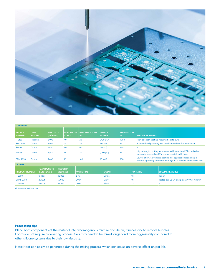

| <b>COATINGS</b>                 |                              |                                  |                                   |                               |                             |                                            |                                                                                                                                           |  |  |  |  |  |
|---------------------------------|------------------------------|----------------------------------|-----------------------------------|-------------------------------|-----------------------------|--------------------------------------------|-------------------------------------------------------------------------------------------------------------------------------------------|--|--|--|--|--|
| <b>PRODUCT</b><br><b>NUMBER</b> | <b>CURE</b><br><b>SYSTEM</b> | <b>VISCOSITY</b><br>$(cP/mPa-s)$ | <b>DUROMETER</b><br><b>TYPE A</b> | <b>PERCENT SOLIDS</b><br>$\%$ | <b>TENSILE</b><br>psi (mPa) | <b>ELONGATION</b><br>$\mathbb{F}_{\infty}$ | <b>SPECIAL FEATURES</b>                                                                                                                   |  |  |  |  |  |
| R-2180                          | <b>Platinum</b>              | 3.075                            | 40                                | 20                            | 1.700 (11.7)                | 1,050                                      | High-strength coating, requires heat to cure                                                                                              |  |  |  |  |  |
| R-1008-0                        | Oxime                        | 1.300                            | 20                                | 70                            | 235(1.6)                    | 220                                        | Suitable for dip casting into thin films without further dilution                                                                         |  |  |  |  |  |
| R-1077                          | Oxime                        | 3,400                            | 40                                | 60                            | 745 (5.1)                   | 330                                        |                                                                                                                                           |  |  |  |  |  |
| R-1099                          | Oxime                        | 6,600                            | 45                                | 30                            | 1,050(7.2)                  | 570                                        | High-strength coating recommended for coating PCBs and other<br>electronic assemblies. RTV or cures rapidly with heat.                    |  |  |  |  |  |
| <b>EPM-2850</b>                 | Oxime                        | 7.400                            | 16                                | 100                           | 80(0.6)                     | 200                                        | Low volatility. Solventless coating. For applications requiring a<br>broader operating temperature range. RTV or cures rapidly with heat. |  |  |  |  |  |

**FOAMS**

| <b>PRODUCT NUMBER</b> | <b>FOAM DENSITY</b><br>$\vert$ lbs/ft <sup>3</sup> (q/cm <sup>3</sup> ) | <b>VISCOSITY</b><br>$ $ (cP/mPa-s) | <b>WORK TIME</b> | <b>COLOR</b> | <b>MIX RATIO</b> | <b>SPECIAL FEATURES</b>                   |
|-----------------------|-------------------------------------------------------------------------|------------------------------------|------------------|--------------|------------------|-------------------------------------------|
| R-2360                | 12(0.2)                                                                 | 40,000                             | 2 <sub>m</sub>   | White        |                  | Tough                                     |
| <b>SFM5-2350</b>      | 25(0.4)                                                                 | 55,000                             | 20 <sub>m</sub>  | Grav         |                  | Tested per UL 94 and passes V-0 at 4.8 mm |
| CF3-2350              | 25(0.4)                                                                 | 100,000                            | 20 <sub>m</sub>  | <b>Black</b> |                  | $\overline{\phantom{a}}$                  |

All foams are platinum cure

### **Processing tips**

Blend both components of the material into a homogenous mixture and de-air, if necessary, to remove bubbles. Foams do not require a de-airing process. Gels may need to be mixed longer and more aggressively compared to other silicone systems due to their low viscosity.

Note: Heat can easily be generated during the mixing process, which can cause an adverse effect on pot life.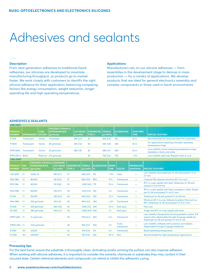# Adhesives and sealants

#### **Description**

From next-generation adhesives to traditional liquid adhesives, our silicones are developed to maximize manufacturing throughput, so products go to market faster. We work closely with customers to identify the right silicone adhesive for their application, balancing competing factors like energy consumption, weight reduction, longer operating life and high operating temperatures.

#### **Applications**

Manufacturers rely on our silicone adhesives — from assemblies in the development stage to devices in mass production — for a variety of applications. We develop products that are ideal for general electronics assembly and complex components or those used in harsh environments.

#### **ADHESIVES & SEALANTS**

| <b>ONE-PART</b>                 |                    |                             |                                               |                                                             |               |                               |                   |                           |                             |                            |                             |                                      |                                                                                                                                                                    |
|---------------------------------|--------------------|-----------------------------|-----------------------------------------------|-------------------------------------------------------------|---------------|-------------------------------|-------------------|---------------------------|-----------------------------|----------------------------|-----------------------------|--------------------------------------|--------------------------------------------------------------------------------------------------------------------------------------------------------------------|
| <b>PRODUCT</b><br><b>NUMBER</b> |                    | <b>APPEARANCE</b>           | <b>CURE</b><br><b>SYSTEM</b>                  | VISCOSITY (cP/mPa-s)<br><b>EXTRUSION RATE</b><br>(g/minute) |               | <b>LAP SHEAR</b><br>psi (mPa) | <b>TYPE A</b>     | <b>DUROMETER</b>          | <b>TENSILE</b><br>psi (MPa) |                            | <b>ELONGATION</b><br>$\%$   | <b>TACK-FREE</b><br><b>TIME</b>      | <b>SPECIAL FEATURES</b>                                                                                                                                            |
| R-1130                          | <b>Translucent</b> |                             | Oxime                                         | Thixotropic                                                 |               | 485 (3.3)                     | 35                |                           | 850 (5.9)                   |                            | 325                         | 25 <sub>m</sub>                      | Recommended for polycarbonate (PC) substrates                                                                                                                      |
| R-1600                          |                    | <b>Translucent</b><br>Oxime |                                               | 80 g/minute                                                 |               |                               | 205(1.4)<br>50    |                           | 545(3.8)                    |                            | 240                         | 25 <sub>m</sub>                      | For applications requiring a broader operating<br>temperature range                                                                                                |
| <b>EPM-2840</b>                 | <b>Translucent</b> |                             | Oxime                                         | 30 g/minute                                                 |               |                               | 280 (1.9)<br>35   |                           | 685 (4.7)                   |                            | 280                         | 25 <sub>m</sub>                      | Low volatility, broad operating temperature range.<br>Available in black and white.                                                                                |
| <b>EPM-2411-2 Black</b>         |                    |                             |                                               | Platinum 0.9 g/minute                                       |               |                               | 20                |                           | 750 (5.2)                   |                            | 700                         | $-8h$                                | Low volatility, glob top. Requires heat to cure.                                                                                                                   |
| <b>TWO-PART</b>                 |                    |                             |                                               |                                                             |               |                               |                   |                           |                             |                            |                             |                                      |                                                                                                                                                                    |
| <b>PRODUCT</b>                  | <b>MIX</b>         |                             | VISCOSITY (cP/mPa-s)<br><b>EXTRUSION RATE</b> | <b>ADHESION</b><br><b>LAP SHEAR</b>                         |               | <b>DUROMETER</b>              | <b>TENSILE</b>    | <b>ELONGATION</b><br>$\%$ |                             | <b>WORK</b><br><b>TIME</b> | <b>COLOR</b>                | <b>PRIMERLESS</b><br><b>ADHESION</b> | <b>SPECIAL FEATURES</b>                                                                                                                                            |
| <b>NUMBER</b>                   | <b>RATIO</b>       | (q/minute)                  |                                               | psi (mPa)                                                   | <b>TYPE A</b> |                               | psi (mPa)         |                           |                             |                            |                             |                                      |                                                                                                                                                                    |
| LS2-6140                        | 1:1                | 3,000 cP                    |                                               | 390(2.7)                                                    | 47            |                               | 940(6.5)          | 125                       |                             | >8 h                       | Clear                       | $\bullet$                            | Low volatility and tested per UL 94 and passed V-0 at<br>$3.7 \text{ mm}$                                                                                          |
| R32-2186                        | 1:1                | 80,000                      |                                               | 130 (0.9)                                                   | 15            | 850 (5.9)                     |                   | 800                       |                             | 15h                        | <b>Translucent</b>          | $\bullet$                            | Long pot life, requires minimum 80°C to cure                                                                                                                       |
| R31-2186                        | 1:1                | 82,000                      |                                               | 110(0.8)                                                    | 20            |                               | 1,000 (6.9) 775   |                           |                             | 15 <sub>m</sub>            | <b>Translucent</b>          | $\bullet$                            | RTV or cures rapidly with heat. Tested per UL 94 and<br>passed V-0 at 4.8 mm.                                                                                      |
| R33-2186                        | 1:1                | 83,000                      |                                               | 100(0.7)                                                    | 20            |                               | 1.015(7.0)<br>740 |                           |                             | 2 <sub>h</sub>             | <b>Translucent</b>          | ٠                                    | RTV or cures rapidly with heat, available in white. Tested<br>per UL 94 and passed V-1 at 4.7 mm.                                                                  |
| R-2141                          | 1:1                | 90,000                      |                                               | 350 (2.4)                                                   | 40            |                               | 650 (4.5)         | 250                       |                             | 1.5 <sub>h</sub>           | <b>Translucent</b>          | $\bullet$                            | Tested per UL 94 and passed V-1 at 4.8 mm                                                                                                                          |
| R34-2186                        | 1:1                | 520 g/minute                |                                               | 150(1.0)                                                    | 45            |                               | 800 (5.5)<br>400  |                           | >8 h                        |                            | <b>Translucent</b>          | $\bullet$                            | Minimum 60°C to cure. Adheres to plastic films such as<br>PET. Tested per UL 94 and passed V-1 at 4.7 mm.                                                          |
| R-2145                          | 1:1                | 295 g/minute                |                                               | 560 (3.9)                                                   | 45            |                               | 1,050(7.2)        | 400                       |                             | 15 <sub>m</sub>            | Dark gray                   | $\bullet$                            | <b>Fast cure</b>                                                                                                                                                   |
| R <sub>1</sub> -2145            | 1:1                | 285 g/minute                |                                               | 540 (3.7)                                                   | 45            |                               | 1,000 (6.9) 400   |                           |                             | 1 <sub>h</sub>             | Dark gray                   | $\bullet$                            | Tough and RTV or cures rapidly with heat                                                                                                                           |
| EPM1-2412                       | 1:1                | 0.1 g/minute                |                                               |                                                             | 40            | 900(6.2)                      |                   | 440                       |                             | 5 <sub>m</sub>             | <b>Translucent</b>          | ٠                                    | Low volatility. Designed for forming gaskets in place, 0.8<br>aspect ratio, dispensable through 21-gauge needle tip.<br>Tested per UL 94 and passed V-1 at 5.0 mm. |
| EPM2-2412 1:1                   |                    | 0.05 g/minute               |                                               |                                                             | 28            |                               | 830 (5.7)         | 540                       |                             | 2 <sub>h</sub>             | <b>Cures</b><br>translucent |                                      | Low volatility. Adheres well to plastics and rubbers.<br>Dispensable through 21-gauge needle tip.                                                                  |
| R-2187                          | 10:1               | 23,000                      |                                               | ۳                                                           | 42            |                               | 790 (5.4)         | 175                       |                             | 6 h                        | <b>Translucent</b>          |                                      | <b>Broad operating temperature</b>                                                                                                                                 |
| R-2160                          | 10:1               | 250,000                     |                                               |                                                             | 20            |                               | 750 (5.2)         | 625                       |                             | 50 m                       | Red                         |                                      | Recommended for high-temperature applications                                                                                                                      |

#### **Processing tips**

For the best bond, ensure the substrate is thoroughly clean. Activating and/or priming the surface can also improve adhesion. When working with silicone adhesives, it is important to consider the solvents, chemicals or substrates they may contact in their uncured state. Certain chemical elements and compounds can retard or inhibit the adhesive's curing.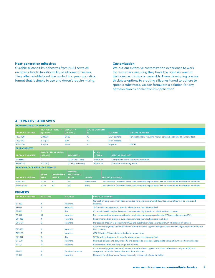### **Next-generation adhesives**

Curable silicone film adhesives from NuSil serve as an alternative to traditional liquid silicone adhesives. They offer reliable bond line control in a peel-and-stick format that is simple to use and doesn't require mixing.

## **Customization**

We put our extensive customization experience to work for customers, ensuring they have the right silicone for their device, display or assembly. From developing precise thickness options to creating silicones tuned to adhere to specific substrates, we can formulate a solution for any optoelectronics or electronics application.

# **ALTERNATIVE ADHESIVES**

|                                        | <b>PRESSURE-SENSITIVE ADHESIVES</b>                             |                    |                                                      |                    |                              |                                                                                                          |                           |                                                                                                          |  |  |  |  |  |
|----------------------------------------|-----------------------------------------------------------------|--------------------|------------------------------------------------------|--------------------|------------------------------|----------------------------------------------------------------------------------------------------------|---------------------------|----------------------------------------------------------------------------------------------------------|--|--|--|--|--|
| <b>PRODUCT NUMBER</b>                  | ppi (kN/m)                                                      | 180° PEEL STRENGTH | <b>VISCOSITY</b><br>$ cP/mPa-s $                     | $\frac{9}{6}$      | <b>SOLIDS CONTENT</b>        |                                                                                                          | <b>SOLVENT</b>            | <b>SPECIAL FEATURES</b>                                                                                  |  |  |  |  |  |
| <b>PSA-1180</b>                        | 5.0(0.9)                                                        |                    | 3,500                                                | 70                 |                              |                                                                                                          | Ethyl acetate             | For applications requiring higher cohesive strength, 2.8 lb (12 N) tack                                  |  |  |  |  |  |
| <b>PSA-1170</b>                        | 3.75(0.7)                                                       |                    | 300                                                  | 50                 |                              |                                                                                                          | Ethyl acetate             | ÷                                                                                                        |  |  |  |  |  |
| <b>PSA-1270</b>                        | 3.5(0.6)                                                        |                    | 1,700                                                | 50                 |                              |                                                                                                          | Naphtha                   | $1.43$ RI                                                                                                |  |  |  |  |  |
| <b>FILM ADHESIVES</b>                  |                                                                 |                    |                                                      |                    |                              |                                                                                                          |                           |                                                                                                          |  |  |  |  |  |
| <b>PRODUCT NUMBER</b>                  | <b>ADHESION LAP SHEAR</b><br>psi (mPa)                          |                    | <b>THICKNESS</b>                                     |                    | <b>CURE</b><br><b>SYSTEM</b> |                                                                                                          | <b>SPECIAL FEATURES</b>   |                                                                                                          |  |  |  |  |  |
| R1-2680-4                              |                                                                 |                    | $0.004$ in $(0.1$ mm)                                |                    | <b>Platinum</b>              |                                                                                                          |                           | Compatible with a variety of activators                                                                  |  |  |  |  |  |
| R-2682-12                              | 100(0.7)                                                        |                    | $0.012$ in $(0.12$ mm)                               |                    | <b>Platinum</b>              |                                                                                                          | Contains reinforcing mesh |                                                                                                          |  |  |  |  |  |
| <b>REMOVABLE FORM-IN-PLACE GASKETS</b> |                                                                 |                    |                                                      |                    |                              |                                                                                                          |                           |                                                                                                          |  |  |  |  |  |
| <b>PRODUCT NUMBER</b>                  | <b>WORK</b><br><b>DUROMETER</b><br><b>TIME</b><br><b>TYPE A</b> |                    | <b>NOMINAL</b><br><b>BEAD ASPECT</b><br><b>RATIO</b> | <b>COLOR</b>       |                              |                                                                                                          | <b>SPECIAL FEATURES</b>   |                                                                                                          |  |  |  |  |  |
| <b>EPM-2412</b>                        | 20 <sub>m</sub>                                                 | 30                 | 0.8                                                  | <b>Translucent</b> |                              |                                                                                                          |                           | Low volatility. Dispenses easily with consistent aspect ratio. RTV or cure can be accelerated with heat. |  |  |  |  |  |
| EPM-2412-2                             | 20 <sub>m</sub>                                                 | 30                 | 0.8                                                  | <b>Black</b>       |                              | Low volatility. Dispenses easily with consistent aspect ratio. RTV or cure can be accelerated with heat. |                           |                                                                                                          |  |  |  |  |  |

#### **PRIMERS**

| <b>PRODUCT NUMBER</b> | % SOLIDS       | <b>SOLVENT</b>            | <b>SPECIAL FEATURES</b>                                                                                                                                          |
|-----------------------|----------------|---------------------------|------------------------------------------------------------------------------------------------------------------------------------------------------------------|
| <b>SP-120</b>         | 4              | Naphtha                   | General, all-purpose primer. Recommended for polyphthalamide (PPA). Use with platinum or tin-catalyzed<br>silicones.                                             |
| SP-121                | 3              | Naphtha                   | SP-120 with red pigment to identify where primer has been applied                                                                                                |
| <b>SP-126</b>         | 6              | <b>IPA</b>                | Compatible with acrylics. Designed to use where slight platinum inhibition is of concern.                                                                        |
| <b>SP-142</b>         | 15             | Naphtha                   | Recommended for increasing adhesion to plastics, such as polycarbonate (PC) and polyurethane (PU).                                                               |
| CF1-135               | 4              | Naphtha                   | Recommended for platinum cure silicones where there is slight cure inhibition                                                                                    |
| CF6-135               | 9              | Naphtha                   | Increased adhesion to polysulfone (PSU) and substrates where severe platinum inhibition is of concern                                                            |
| CF1-136               | 4              | Naphtha                   | Contains red pigment to identify where primer has been applied. Designed to use where slight platinum inhibition<br>is of concern.                               |
| CF2-137               | $\overline{7}$ | Naphtha                   | CF1-135 with UV-light-detectable dye for inspections                                                                                                             |
| CF1-141               | 6              | <b>IPA</b>                | SP-126 with red pigment to identify where primer has been applied                                                                                                |
| <b>SP-270</b>         | 15             | Naphtha                   | Improved adhesion to polyimide (PI) and composite materials. Compatible with platinum cure fluorosilicones.                                                      |
| SP-271                | 20             | Naphtha                   | Recommended for adhering to gold substrates                                                                                                                      |
| SP-272                | 9              | <b>Tert-butyl acetate</b> | Contains red pigment to identify where primer has been applied. Improved adhesion to polyimide (PI) and<br>composite materials. Compatible with fluorosilicones. |
| SP-273                | 9              | Naphtha                   | Designed for platinum cure fluorosilicones to reduce risk of cure inhibition                                                                                     |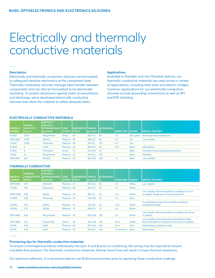# Electrically and thermally conductive materials

#### **Description**

Electrically and thermally conductive silicones are formulated to safeguard sensitive electronics at the component level. Thermally conductive silicones manage heat transfer between components and can also be formulated to be electrically insulating. To protect electronics against static accumulations and discharge, we've developed electrically conductive silicones that allow the material to safely dissipate static.

#### **Applications**

Available in flowable and non-flowable options, our thermally conductive materials are used across a variety of applications, including heat sinks and electric bridges. Common applications for our electrically conductive silicones include grounding connections as well as RFI and EMI shielding.

### **ELECTRICALLY CONDUCTIVE MATERIALS**

| <b>PRODUCT</b><br><b>NUMBER</b> | <b>VOLUME</b><br><b>RESISTIVITY</b><br>ohm-cm | <b>VISCOSITY</b><br>(cP/mPa·s)<br><b>EXTRUSION RATE CURE</b><br>(g/minute) | <b>SYSTEM</b> | <b>DUROMETER TENSILE</b><br><b>TYPE A</b> | psi (mPa)   %' | <b>ELONGATION</b> | <b>WORK TIME</b> | <b>COLOR</b> | <b>SPECIAL FEATURES</b>               |
|---------------------------------|-----------------------------------------------|----------------------------------------------------------------------------|---------------|-------------------------------------------|----------------|-------------------|------------------|--------------|---------------------------------------|
| R-2634                          | 0.001                                         | 160 g/minute                                                               | Alkoxy        | 80                                        | 250(1.7)       | 90                | 3 h              | Gray green   | <b>Broad operating temperature</b>    |
| <b>EPM-2462</b>                 | 0.005                                         | 160,000                                                                    | Platinum 85   |                                           | 450(3.1)       | 85                | 3 <sub>h</sub>   | Tan          | Low volatility                        |
| R-2637                          | 0.006                                         | Thixotropic                                                                | Platinum 60   |                                           | 210(2.1)       | 275               | 4 <sub>h</sub>   | Tan          |                                       |
| R-2630                          | 6                                             | 11,700                                                                     | Platinum 60   |                                           | 690 (4.7)      | - 95              | 15 <sub>h</sub>  | <b>Black</b> | Self-leveling                         |
| R-1505                          | 8                                             | Thixotropic                                                                | Oxime         | - 75                                      | 525(3.6)       | 25                |                  | <b>Black</b> | One-part, broad operating temperature |
| R-2631                          | 70                                            | 100 a/minute                                                               | Platinum 45   |                                           | 615(4.2)       | 275               |                  | <b>Black</b> | <b>Moldable</b>                       |
| <b>EPM-2461</b>                 | 535                                           | 675,000                                                                    | Platinum      | - 30                                      | 500(3.4)       | 350               | 1 <sub>h</sub>   | <b>Black</b> | Low volatility                        |

### **THERMALLY CONDUCTIVE**

| <b>PRODUCT</b>  | <b>THERMAL</b><br><b>CONDUCTIVITY</b> | <b>VISCOSITY</b><br>(cP/mPa·s)<br><b>EXTRUSION RATE</b> | <b>CURE</b>     | <b>DUROMETER</b> | <b>TENSILE</b> | <b>ELONGATION</b> |                  |              |                                                                                                           |
|-----------------|---------------------------------------|---------------------------------------------------------|-----------------|------------------|----------------|-------------------|------------------|--------------|-----------------------------------------------------------------------------------------------------------|
| <b>NUMBER</b>   | W/(mK)                                | (g/minute)                                              | <b>SYSTEM</b>   | <b>TYPE A</b>    | psi (mPa)      | l %               | <b>WORK TIME</b> | <b>COLOR</b> | <b>SPECIAL FEATURES</b>                                                                                   |
| <b>EPM-2490</b> | 1.49                                  | 3,700,000                                               | Platinum        | - 75             | 200(1.4)       | 30                | 2 <sub>h</sub>   | White        | Low volatility                                                                                            |
| R-2930          | 1.46                                  | Thixotropic                                             | Platinum 80     |                  | 260(1.7)       | 20                | 3 <sub>h</sub>   | White        | ٠                                                                                                         |
| EPM1-2493       | 0.95                                  | 36,000                                                  | Platinum 65     |                  | 180 (1.2)      | 50                | 13h              | White        | Low volatility. Recommended for bondlines 5 micron<br>or greater. Tested per UL 94 and passed V0.         |
| R-2940          | 0.84                                  | Thixotropic                                             | Platinum 90     |                  | 700 (4.8)      | 35                | 5 <sub>h</sub>   | Gray         | ٠                                                                                                         |
| R-2949          | 0.75                                  | 75,000                                                  | Platinum 75     |                  | 270(1.8)       | 50                | 3.5h             | White        | For applications requiring a broader operating<br>temperature range                                       |
| R-2939          | 0.75                                  | 70,000                                                  | Platinum        | - 70             | 300(2.1)       | 70                | 4 h              | White        | ٠                                                                                                         |
| <b>EPM-2495</b> | 0.64                                  | 140 g/minute                                            | Platinum        | -55              | 400(2.8)       | 225               | 3 <sub>h</sub>   | White        | Low volatility. Recommended for bondlines 50 micron<br>or greater.                                        |
| <b>EPM-2890</b> | 0.61                                  | 40 g/minute                                             | Oxime           | 65               | 400(2.8)       | 150               | 40 m             | White        | Low volatility, broad operating temperature range.<br>Recommended for bondlines of 0.4 micron or greater. |
| R-2165          | 0.50                                  | 4,000                                                   | <b>Platinum</b> | -60              | 500(3.4)       | 100               | 10 <sub>m</sub>  | Gray         | Self-leveling, available in white                                                                         |
| R-2175          | 0.40                                  | 3,000                                                   | <b>Platinum</b> | 50               | 525(3.5)       | 130               | 1 h minimum      | <b>Black</b> | Self-leveling                                                                                             |

#### **Processing tips for thermally conductive materials**

To ensure a homogenous blend, individually mix part A and B prior to combining. De-airing may be required to ensure a bubble-free product. For thermally conductive materials, thinner bond lines will result in lower thermal resistance.

For optimum adhesion, it is recommended to use NuSil brand primers prior to applying these conductive coatings.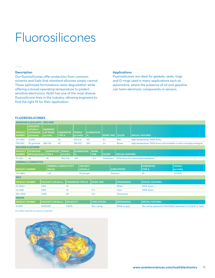# Fluorosilicones

#### **Description**

Our fluorosilicones offer protection from common solvents and fuels that standard silicones simply cannot. These optimized formulations resist degradation while offering a broad operating temperature to protect sensitive electronics. NuSil has one of the most diverse fluorosilicone lines in the industry, allowing engineers to find the right fit for their application.

#### **Applications**

Fluorosilicones are ideal for gaskets, seals, rings and O-rings used in many applications such as automotive, where the presence of oil and gasoline can harm electronic components or sensors.

# **FLUOROSILICONES**

| <b>ADHESIVES &amp; SEALANTS - TWO-PART</b> |                                                                  |                                                  |                                   |                   |                                    |                                |                            |                  |                    |                                        |                                                                  |                                                                         |                             |  |
|--------------------------------------------|------------------------------------------------------------------|--------------------------------------------------|-----------------------------------|-------------------|------------------------------------|--------------------------------|----------------------------|------------------|--------------------|----------------------------------------|------------------------------------------------------------------|-------------------------------------------------------------------------|-----------------------------|--|
| <b>PRODUCT</b><br><b>NUMBER</b>            | <b>VISCOSITY</b><br>(cP/mPa·s)<br><b>EXTRUSION</b><br>(g/minute) | <b>ADHESION</b><br><b>LAP SHEAR</b><br>psi (mPa) | <b>DUROMETER</b><br><b>TYPE A</b> |                   | <b>TENSILE</b><br>psi (mPa)        | %                              | <b>ELONGATION</b>          | <b>WORK TIME</b> |                    | <b>COLOR</b>                           | <b>SPECIAL FEATURES</b>                                          |                                                                         |                             |  |
| CF1-3510                                   | 70,000                                                           |                                                  | 20                                |                   | 210(1.5)                           | 135                            |                            | 4 h              |                    | Red                                    |                                                                  | High-temperature, 100% fluoro                                           |                             |  |
| FS9-3521                                   | 50 g/minute                                                      | 280 (1.9)                                        | 29                                |                   | 750 (5.2)                          | 300                            |                            | 3 <sub>h</sub>   |                    | <b>Brown</b>                           |                                                                  | High-temperature, 100% fluoro and available in dual-cartridge packaging |                             |  |
| <b>MOLDING ELASTOMER</b>                   |                                                                  |                                                  |                                   |                   |                                    |                                |                            |                  |                    |                                        |                                                                  |                                                                         |                             |  |
| <b>PRODUCT</b><br><b>NUMBER</b>            | <b>EXTRUSION</b><br><b>RATE (g/minute) TYPE A</b>                | <b>DUROMETER</b>                                 | <b>TENSILE</b><br>psi (mPa)       |                   | <b>ELONGATION</b><br>$\frac{9}{6}$ |                                | <b>WORK</b><br><b>TIME</b> | <b>COLOR</b>     |                    | <b>SPECIAL FEATURES</b>                |                                                                  |                                                                         |                             |  |
| FS-3511                                    | 40                                                               | 40                                               | 1150 (7.9)                        |                   | 335                                |                                | > 8 h                      | Translucent      |                    | 100% fluoro for hydrocarbon resistance |                                                                  |                                                                         |                             |  |
| <b>THERMALLY CONDUCTIVE</b>                |                                                                  |                                                  |                                   |                   |                                    |                                |                            |                  |                    |                                        |                                                                  |                                                                         |                             |  |
| <b>PRODUCT NUMBER</b>                      |                                                                  | <b>THERMAL CONDUCTIVITY</b><br>(W/mK)            |                                   |                   |                                    | <b>VISCOSITY</b><br>(cP/mPa·s) |                            |                  |                    | <b>CURE SYSTEM</b>                     |                                                                  | <b>DUROMETER</b><br><b>TYPE A</b>                                       | <b>TENSILE</b><br>psi (mPa) |  |
| CF1-3800                                   |                                                                  | 1.25                                             |                                   |                   |                                    | Thixotropic                    |                            |                  |                    | Platinum                               |                                                                  | 50                                                                      | 125(0.9)                    |  |
| <b>GELS</b>                                |                                                                  |                                                  |                                   |                   |                                    |                                |                            |                  |                    |                                        |                                                                  |                                                                         |                             |  |
| <b>PRODUCT NUMBER</b>                      |                                                                  | VISCOSITY (cP/mPa-s)                             |                                   |                   | <b>DUROMETER TYPE 00</b>           |                                | <b>WORK TIME</b>           |                  |                    | <b>APPEARANCE</b>                      |                                                                  | <b>SPECIAL FEATURES</b>                                                 |                             |  |
| FS-3502-1                                  |                                                                  | 1.200                                            |                                   | 10                |                                    |                                | $\sim$                     |                  |                    | White                                  |                                                                  | 100% fluoro                                                             |                             |  |
| LS-3238                                    |                                                                  | 1,500                                            |                                   | 15                |                                    |                                | 11h                        |                  |                    | Clear                                  |                                                                  | 100% fluoro                                                             |                             |  |
| GEL-3500                                   |                                                                  | 11,250                                           |                                   | 50                |                                    | 12 <sub>h</sub>                |                            |                  | <b>Translucent</b> |                                        | ٠                                                                |                                                                         |                             |  |
| <b>GREASE</b>                              |                                                                  |                                                  |                                   |                   |                                    |                                |                            |                  |                    |                                        |                                                                  |                                                                         |                             |  |
| <b>PRODUCT NUMBER</b>                      |                                                                  | VISCOSITY (cP/mPa-s)                             |                                   | <b>VOLATILITY</b> |                                    |                                | <b>CURE SYSTEM</b>         |                  | <b>APPEARANCE</b>  |                                        | <b>SPECIAL FEATURES</b>                                          |                                                                         |                             |  |
| G-9041                                     |                                                                  | 2,000,000                                        |                                   | 0.20%             |                                    | Non-curing                     |                            |                  | White to gray      |                                        | Non-slump grease for intermittent exposures to solvents or fuels |                                                                         |                             |  |

All curable materials are platinum catalyzed